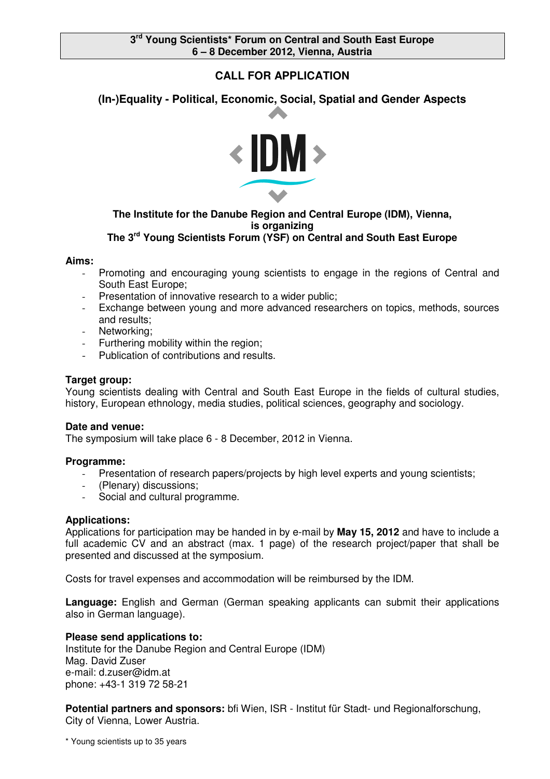# **CALL FOR APPLICATION**

# **(In-)Equality - Political, Economic, Social, Spatial and Gender Aspects**



### **The Institute for the Danube Region and Central Europe (IDM), Vienna, is organizing The 3 rd Young Scientists Forum (YSF) on Central and South East Europe**

### **Aims:**

- Promoting and encouraging young scientists to engage in the regions of Central and South East Europe;
- Presentation of innovative research to a wider public;
- Exchange between young and more advanced researchers on topics, methods, sources and results;
- Networking;
- Furthering mobility within the region;
- Publication of contributions and results.

## **Target group:**

Young scientists dealing with Central and South East Europe in the fields of cultural studies, history, European ethnology, media studies, political sciences, geography and sociology.

#### **Date and venue:**

The symposium will take place 6 - 8 December, 2012 in Vienna.

## **Programme:**

- Presentation of research papers/projects by high level experts and young scientists;
- (Plenary) discussions;
- Social and cultural programme.

#### **Applications:**

Applications for participation may be handed in by e-mail by **May 15, 2012** and have to include a full academic CV and an abstract (max. 1 page) of the research project/paper that shall be presented and discussed at the symposium.

Costs for travel expenses and accommodation will be reimbursed by the IDM.

**Language:** English and German (German speaking applicants can submit their applications also in German language).

## **Please send applications to:**

Institute for the Danube Region and Central Europe (IDM) Mag. David Zuser e-mail: d.zuser@idm.at phone: +43-1 319 72 58-21

**Potential partners and sponsors:** bfi Wien, ISR - Institut für Stadt- und Regionalforschung, City of Vienna, Lower Austria.